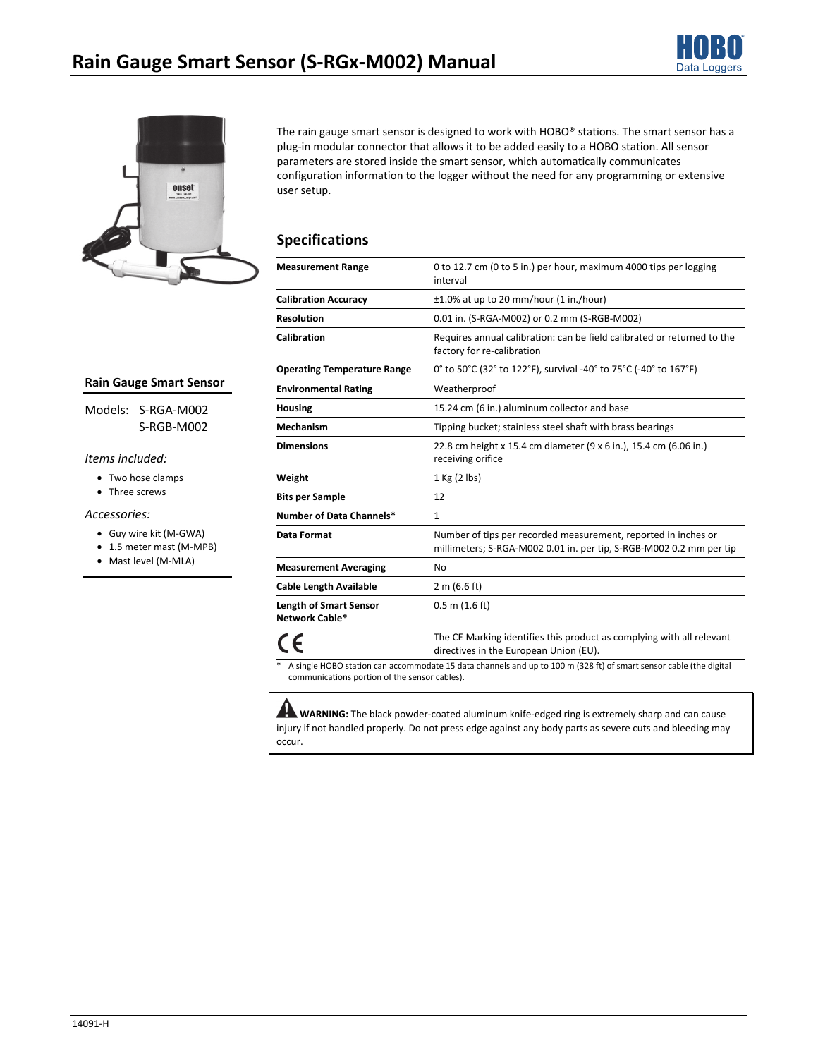



The rain gauge smart sensor is designed to work with HOBO® stations. The smart sensor has a plug-in modular connector that allows it to be added easily to a HOBO station. All sensor parameters are stored inside the smart sensor, which automatically communicates configuration information to the logger without the need for any programming or extensive user setup.

# **Specifications**

| <b>Measurement Range</b>                        | 0 to 12.7 cm (0 to 5 in.) per hour, maximum 4000 tips per logging<br>interval                                                         |
|-------------------------------------------------|---------------------------------------------------------------------------------------------------------------------------------------|
| <b>Calibration Accuracy</b>                     | $\pm 1.0\%$ at up to 20 mm/hour (1 in./hour)                                                                                          |
| <b>Resolution</b>                               | 0.01 in. (S-RGA-M002) or 0.2 mm (S-RGB-M002)                                                                                          |
| <b>Calibration</b>                              | Requires annual calibration: can be field calibrated or returned to the<br>factory for re-calibration                                 |
| <b>Operating Temperature Range</b>              | 0° to 50°C (32° to 122°F), survival -40° to 75°C (-40° to 167°F)                                                                      |
| <b>Environmental Rating</b>                     | Weatherproof                                                                                                                          |
| <b>Housing</b>                                  | 15.24 cm (6 in.) aluminum collector and base                                                                                          |
| <b>Mechanism</b>                                | Tipping bucket; stainless steel shaft with brass bearings                                                                             |
| <b>Dimensions</b>                               | 22.8 cm height x 15.4 cm diameter (9 x 6 in.), 15.4 cm (6.06 in.)<br>receiving orifice                                                |
| Weight                                          | 1 Kg (2 lbs)                                                                                                                          |
| <b>Bits per Sample</b>                          | 12                                                                                                                                    |
| Number of Data Channels*                        | $\mathbf{1}$                                                                                                                          |
| <b>Data Format</b>                              | Number of tips per recorded measurement, reported in inches or<br>millimeters; S-RGA-M002 0.01 in. per tip, S-RGB-M002 0.2 mm per tip |
| <b>Measurement Averaging</b>                    | No                                                                                                                                    |
| <b>Cable Length Available</b>                   | 2 m (6.6 ft)                                                                                                                          |
| <b>Length of Smart Sensor</b><br>Network Cable* | $0.5$ m $(1.6$ ft)                                                                                                                    |
|                                                 | The CE Marking identifies this product as complying with all relevant<br>directives in the European Union (EU).                       |

A single HOBO station can accommodate 15 data channels and up to 100 m (328 ft) of smart sensor cable (the digital communications portion of the sensor cables).

**AN WARNING:** The black powder-coated aluminum knife-edged ring is extremely sharp and can cause injury if not handled properly. Do not press edge against any body parts as severe cuts and bleeding may occur.

### **Rain Gauge Smart Sensor**

Models: S-RGA-M002 S-RGB-M002

#### *Items included:*

- Two hose clamps
- Three screws

#### *Accessories:*

- Guy wire kit (M-GWA)
- 1.5 meter mast (M-MPB)
- Mast level (M-MLA)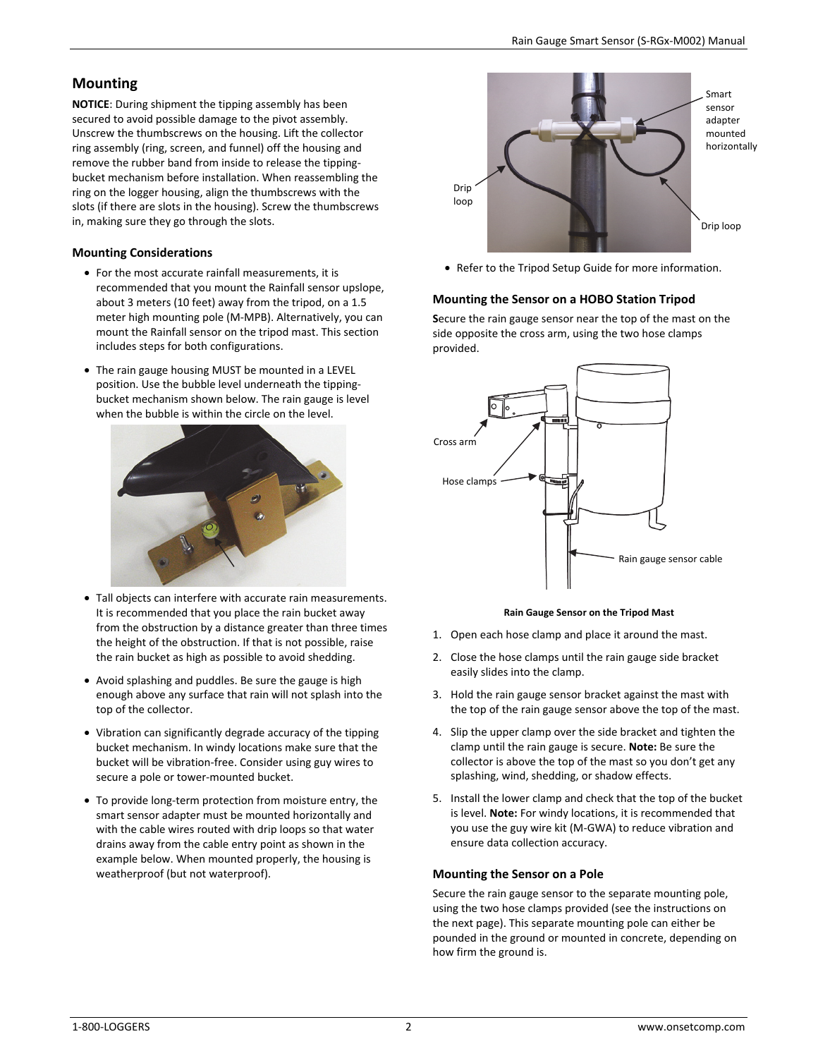# **Mounting**

**NOTICE**: During shipment the tipping assembly has been secured to avoid possible damage to the pivot assembly. Unscrew the thumbscrews on the housing. Lift the collector ring assembly (ring, screen, and funnel) off the housing and remove the rubber band from inside to release the tippingbucket mechanism before installation. When reassembling the ring on the logger housing, align the thumbscrews with the slots (if there are slots in the housing). Screw the thumbscrews in, making sure they go through the slots.

## **Mounting Considerations**

- For the most accurate rainfall measurements, it is recommended that you mount the Rainfall sensor upslope, about 3 meters (10 feet) away from the tripod, on a 1.5 meter high mounting pole (M-MPB). Alternatively, you can mount the Rainfall sensor on the tripod mast. This section includes steps for both configurations.
- The rain gauge housing MUST be mounted in a LEVEL position. Use the bubble level underneath the tippingbucket mechanism shown below. The rain gauge is level when the bubble is within the circle on the level.



- Tall objects can interfere with accurate rain measurements. It is recommended that you place the rain bucket away from the obstruction by a distance greater than three times the height of the obstruction. If that is not possible, raise the rain bucket as high as possible to avoid shedding.
- Avoid splashing and puddles. Be sure the gauge is high enough above any surface that rain will not splash into the top of the collector.
- Vibration can significantly degrade accuracy of the tipping bucket mechanism. In windy locations make sure that the bucket will be vibration-free. Consider using guy wires to secure a pole or tower-mounted bucket.
- To provide long-term protection from moisture entry, the smart sensor adapter must be mounted horizontally and with the cable wires routed with drip loops so that water drains away from the cable entry point as shown in the example below. When mounted properly, the housing is weatherproof (but not waterproof).



• Refer to the Tripod Setup Guide for more information.

## **Mounting the Sensor on a HOBO Station Tripod**

**S**ecure the rain gauge sensor near the top of the mast on the side opposite the cross arm, using the two hose clamps provided.



#### **Rain Gauge Sensor on the Tripod Mast**

- 1. Open each hose clamp and place it around the mast.
- 2. Close the hose clamps until the rain gauge side bracket easily slides into the clamp.
- 3. Hold the rain gauge sensor bracket against the mast with the top of the rain gauge sensor above the top of the mast.
- 4. Slip the upper clamp over the side bracket and tighten the clamp until the rain gauge is secure. **Note:** Be sure the collector is above the top of the mast so you don't get any splashing, wind, shedding, or shadow effects.
- 5. Install the lower clamp and check that the top of the bucket is level. **Note:** For windy locations, it is recommended that you use the guy wire kit (M-GWA) to reduce vibration and ensure data collection accuracy.

### **Mounting the Sensor on a Pole**

Secure the rain gauge sensor to the separate mounting pole, using the two hose clamps provided (see the instructions on the next page). This separate mounting pole can either be pounded in the ground or mounted in concrete, depending on how firm the ground is.